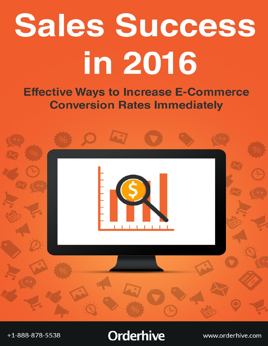# **Sales Success** in 2016

**Effective Ways to Increase E-Commerce Conversion Rates Immediately** 



## **Orderhive**

www.orderhive.com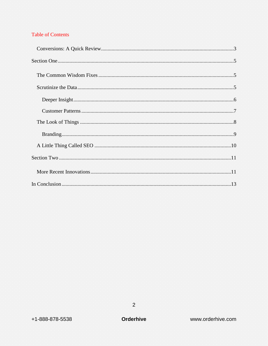#### **Table of Contents**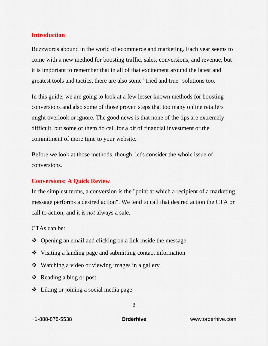#### **Introduction**

Buzzwords abound in the world of ecommerce and marketing. Each year seems to come with a new method for boosting traffic, sales, conversions, and revenue, but it is important to remember that in all of that excitement around the latest and greatest tools and tactics, there are also some "tried and true" solutions too.

In this guide, we are going to look at a few lesser known methods for boosting conversions and also some of those proven steps that too many online retailers might overlook or ignore. The good news is that none of the tips are extremely difficult, but some of them do call for a bit of financial investment or the commitment of more time to your website.

Before we look at those methods, though, let's consider the whole issue of conversions.

#### <span id="page-2-0"></span>**Conversions: A Quick Review**

In the simplest terms, a conversion is the "point at which a recipient of a marketing message performs a desired action". We tend to call that desired action the CTA or call to action, and it is *not* always a sale.

CTAs can be:

- Opening an email and clicking on a link inside the message
- Visiting a landing page and submitting contact information
- Watching a video or viewing images in a gallery
- Reading a blog or post
- Liking or joining a social media page

+1-888-878-5538 **Orderhive** www.orderhive.com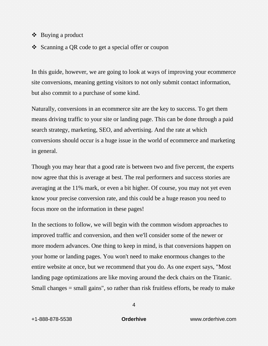- $\bullet$  Buying a product
- Scanning a QR code to get a special offer or coupon

In this guide, however, we are going to look at ways of improving your ecommerce site conversions, meaning getting visitors to not only submit contact information, but also commit to a purchase of some kind.

Naturally, conversions in an ecommerce site are the key to success. To get them means driving traffic to your site or landing page. This can be done through a paid search strategy, marketing, SEO, and advertising. And the rate at which conversions should occur is a huge issue in the world of ecommerce and marketing in general.

Though you may hear that a good rate is between two and five percent, the experts now agree that this is average at best. The real performers and success stories are averaging at the 11% mark, or even a bit higher. Of course, you may not yet even know your precise conversion rate, and this could be a huge reason you need to focus more on the information in these pages!

In the sections to follow, we will begin with the common wisdom approaches to improved traffic and conversion, and then we'll consider some of the newer or more modern advances. One thing to keep in mind, is that conversions happen on your home or landing pages. You won't need to make enormous changes to the entire website at once, but we recommend that you do. As one expert says, "Most landing page optimizations are like moving around the deck chairs on the Titanic. Small changes = small gains", so rather than risk fruitless efforts, be ready to make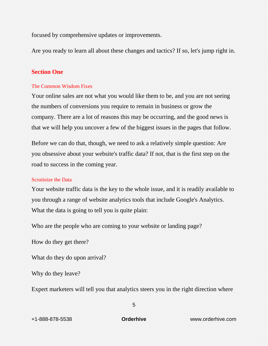focused by comprehensive updates or improvements.

Are you ready to learn all about these changes and tactics? If so, let's jump right in.

#### <span id="page-4-0"></span>**Section One**

#### <span id="page-4-1"></span>The Common Wisdom Fixes

Your online sales are not what you would like them to be, and you are not seeing the numbers of conversions you require to remain in business or grow the company. There are a lot of reasons this may be occurring, and the good news is that we will help you uncover a few of the biggest issues in the pages that follow.

Before we can do that, though, we need to ask a relatively simple question: Are you obsessive about your website's traffic data? If not, that is the first step on the road to success in the coming year.

#### <span id="page-4-2"></span>Scrutinize the Data

Your website traffic data is the key to the whole issue, and it is readily available to you through a range of website analytics tools that include Google's Analytics. What the data is going to tell you is quite plain:

Who are the people who are coming to your website or landing page?

How do they get there?

What do they do upon arrival?

Why do they leave?

Expert marketers will tell you that analytics steers you in the right direction where

5

+1-888-878-5538 **Orderhive** www.orderhive.com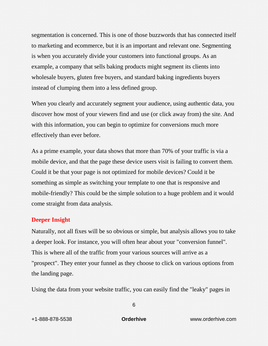segmentation is concerned. This is one of those buzzwords that has connected itself to marketing and ecommerce, but it is an important and relevant one. Segmenting is when you accurately divide your customers into functional groups. As an example, a company that sells baking products might segment its clients into wholesale buyers, gluten free buyers, and standard baking ingredients buyers instead of clumping them into a less defined group.

When you clearly and accurately segment your audience, using authentic data, you discover how most of your viewers find and use (or click away from) the site. And with this information, you can begin to optimize for conversions much more effectively than ever before.

As a prime example, your data shows that more than 70% of your traffic is via a mobile device, and that the page these device users visit is failing to convert them. Could it be that your page is not optimized for mobile devices? Could it be something as simple as switching your template to one that is responsive and mobile-friendly? This could be the simple solution to a huge problem and it would come straight from data analysis.

#### <span id="page-5-0"></span>**Deeper Insight**

Naturally, not all fixes will be so obvious or simple, but analysis allows you to take a deeper look. For instance, you will often hear about your "conversion funnel". This is where all of the traffic from your various sources will arrive as a "prospect". They enter your funnel as they choose to click on various options from the landing page.

Using the data from your website traffic, you can easily find the "leaky" pages in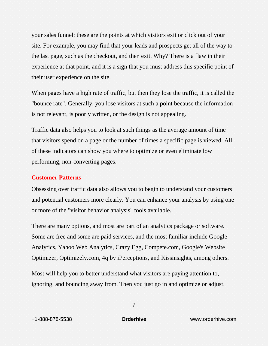your sales funnel; these are the points at which visitors exit or click out of your site. For example, you may find that your leads and prospects get all of the way to the last page, such as the checkout, and then exit. Why? There is a flaw in their experience at that point, and it is a sign that you must address this specific point of their user experience on the site.

When pages have a high rate of traffic, but then they lose the traffic, it is called the "bounce rate". Generally, you lose visitors at such a point because the information is not relevant, is poorly written, or the design is not appealing.

Traffic data also helps you to look at such things as the average amount of time that visitors spend on a page or the number of times a specific page is viewed. All of these indicators can show you where to optimize or even eliminate low performing, non-converting pages.

#### <span id="page-6-0"></span>**Customer Patterns**

Obsessing over traffic data also allows you to begin to understand your customers and potential customers more clearly. You can enhance your analysis by using one or more of the "visitor behavior analysis" tools available.

There are many options, and most are part of an analytics package or software. Some are free and some are paid services, and the most familiar include Google Analytics, Yahoo Web Analytics, Crazy Egg, Compete.com, Google's Website Optimizer, Optimizely.com, 4q by iPerceptions, and Kissinsights, among others.

Most will help you to better understand what visitors are paying attention to, ignoring, and bouncing away from. Then you just go in and optimize or adjust.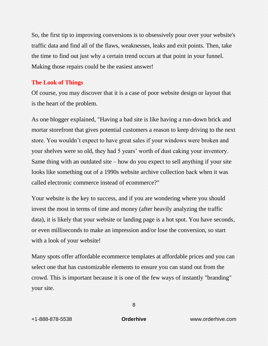So, the first tip to improving conversions is to obsessively pour over your website's traffic data and find all of the flaws, weaknesses, leaks and exit points. Then, take the time to find out just why a certain trend occurs at that point in your funnel. Making those repairs could be the easiest answer!

#### <span id="page-7-0"></span>**The Look of Things**

Of course, you may discover that it is a case of poor website design or layout that is the heart of the problem.

As one blogger explained, "Having a bad site is like having a run-down brick and mortar storefront that gives potential customers a reason to keep driving to the next store. You wouldn't expect to have great sales if your windows were broken and your shelves were so old, they had 5 years' worth of dust caking your inventory. Same thing with an outdated site  $-$  how do you expect to sell anything if your site looks like something out of a 1990s website archive collection back when it was called electronic commerce instead of ecommerce?"

Your website is the key to success, and if you are wondering where you should invest the most in terms of time and money (after heavily analyzing the traffic data), it is likely that your website or landing page is a hot spot. You have seconds, or even milliseconds to make an impression and/or lose the conversion, so start with a look of your website!

Many spots offer affordable ecommerce templates at affordable prices and you can select one that has customizable elements to ensure you can stand out from the crowd. This is important because it is one of the few ways of instantly "branding" your site.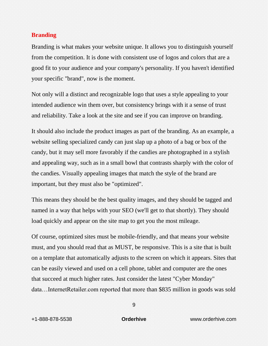#### <span id="page-8-0"></span>**Branding**

Branding is what makes your website unique. It allows you to distinguish yourself from the competition. It is done with consistent use of logos and colors that are a good fit to your audience and your company's personality. If you haven't identified your specific "brand", now is the moment.

Not only will a distinct and recognizable logo that uses a style appealing to your intended audience win them over, but consistency brings with it a sense of trust and reliability. Take a look at the site and see if you can improve on branding.

It should also include the product images as part of the branding. As an example, a website selling specialized candy can just slap up a photo of a bag or box of the candy, but it may sell more favorably if the candies are photographed in a stylish and appealing way, such as in a small bowl that contrasts sharply with the color of the candies. Visually appealing images that match the style of the brand are important, but they must also be "optimized".

This means they should be the best quality images, and they should be tagged and named in a way that helps with your SEO (we'll get to that shortly). They should load quickly and appear on the site map to get you the most mileage.

Of course, optimized sites must be mobile-friendly, and that means your website must, and you should read that as MUST, be responsive. This is a site that is built on a template that automatically adjusts to the screen on which it appears. Sites that can be easily viewed and used on a cell phone, tablet and computer are the ones that succeed at much higher rates. Just consider the latest "Cyber Monday" data…InternetRetailer.com reported that more than \$835 million in goods was sold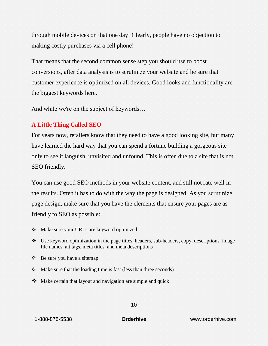through mobile devices on that one day! Clearly, people have no objection to making costly purchases via a cell phone!

That means that the second common sense step you should use to boost conversions, after data analysis is to scrutinize your website and be sure that customer experience is optimized on all devices. Good looks and functionality are the biggest keywords here.

And while we're on the subject of keywords…

### <span id="page-9-0"></span>**A Little Thing Called SEO**

For years now, retailers know that they need to have a good looking site, but many have learned the hard way that you can spend a fortune building a gorgeous site only to see it languish, unvisited and unfound. This is often due to a site that is not SEO friendly.

You can use good SEO methods in your website content, and still not rate well in the results. Often it has to do with the way the page is designed. As you scrutinize page design, make sure that you have the elements that ensure your pages are as friendly to SEO as possible:

- Make sure your URLs are keyword optimized
- $\bullet$  Use keyword optimization in the page titles, headers, sub-headers, copy, descriptions, image file names, alt tags, meta titles, and meta descriptions
- $\triangle$  Be sure you have a sitemap
- $\triangle$  Make sure that the loading time is fast (less than three seconds)
- $\bullet$  Make certain that layout and navigation are simple and quick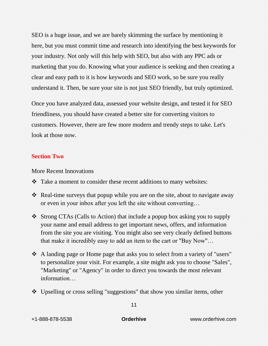SEO is a huge issue, and we are barely skimming the surface by mentioning it here, but you must commit time and research into identifying the best keywords for your industry. Not only will this help with SEO, but also with any PPC ads or marketing that you do. Knowing what your audience is seeking and then creating a clear and easy path to it is how keywords and SEO work, so be sure you really understand it. Then, be sure your site is not just SEO friendly, but truly optimized.

Once you have analyzed data, assessed your website design, and tested it for SEO friendliness, you should have created a better site for converting visitors to customers. However, there are few more modern and trendy steps to take. Let's look at those now.

#### <span id="page-10-0"></span>**Section Two**

<span id="page-10-1"></span>More Recent Innovations

- Take a moment to consider these recent additions to many websites:
- \* Real-time surveys that popup while you are on the site, about to navigate away or even in your inbox after you left the site without converting…
- Strong CTAs (Calls to Action) that include a popup box asking you to supply your name and email address to get important news, offers, and information from the site you are visiting. You might also see very clearly defined buttons that make it incredibly easy to add an item to the cart or "Buy Now"…
- A landing page or Home page that asks you to select from a variety of "users" to personalize your visit. For example, a site might ask you to choose "Sales", "Marketing" or "Agency" in order to direct you towards the most relevant information…
- Upselling or cross selling "suggestions" that show you similar items, other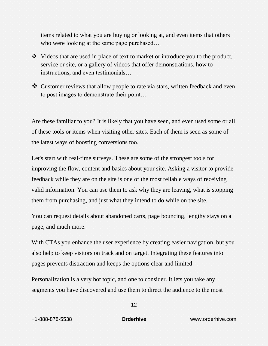items related to what you are buying or looking at, and even items that others who were looking at the same page purchased...

- Videos that are used in place of text to market or introduce you to the product, service or site, or a gallery of videos that offer demonstrations, how to instructions, and even testimonials…
- \* Customer reviews that allow people to rate via stars, written feedback and even to post images to demonstrate their point…

Are these familiar to you? It is likely that you have seen, and even used some or all of these tools or items when visiting other sites. Each of them is seen as some of the latest ways of boosting conversions too.

Let's start with real-time surveys. These are some of the strongest tools for improving the flow, content and basics about your site. Asking a visitor to provide feedback while they are on the site is one of the most reliable ways of receiving valid information. You can use them to ask why they are leaving, what is stopping them from purchasing, and just what they intend to do while on the site.

You can request details about abandoned carts, page bouncing, lengthy stays on a page, and much more.

With CTAs you enhance the user experience by creating easier navigation, but you also help to keep visitors on track and on target. Integrating these features into pages prevents distraction and keeps the options clear and limited.

Personalization is a very hot topic, and one to consider. It lets you take any segments you have discovered and use them to direct the audience to the most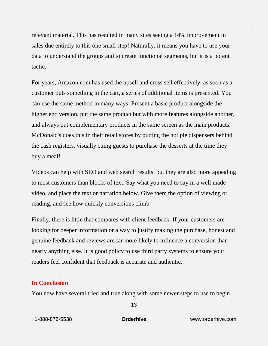relevant material. This has resulted in many sites seeing a 14% improvement in sales due entirely to this one small step! Naturally, it means you have to use your data to understand the groups and to create functional segments, but it is a potent tactic.

For years, Amazon.com has used the upsell and cross sell effectively, as soon as a customer puts something in the cart, a series of additional items is presented. You can use the same method in many ways. Present a basic product alongside the higher end version, put the same product but with more features alongside another, and always put complementary products in the same screen as the main products. McDonald's does this in their retail stores by putting the hot pie dispensers behind the cash registers, visually cuing guests to purchase the desserts at the time they buy a meal!

Videos can help with SEO and web search results, but they are also more appealing to most customers than blocks of text. Say what you need to say in a well made video, and place the text or narration below. Give them the option of viewing or reading, and see how quickly conversions climb.

Finally, there is little that compares with client feedback. If your customers are looking for deeper information or a way to justify making the purchase, honest and genuine feedback and reviews are far more likely to influence a conversion than nearly anything else. It is good policy to use third party systems to ensure your readers feel confident that feedback is accurate and authentic.

#### <span id="page-12-0"></span>**In Conclusion**

You now have several tried and true along with some newer steps to use to begin

+1-888-878-5538 **Orderhive** www.orderhive.com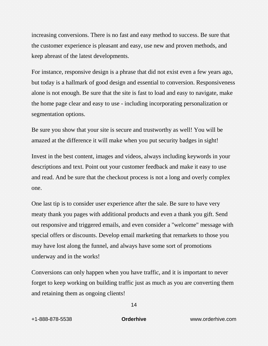increasing conversions. There is no fast and easy method to success. Be sure that the customer experience is pleasant and easy, use new and proven methods, and keep abreast of the latest developments.

For instance, responsive design is a phrase that did not exist even a few years ago, but today is a hallmark of good design and essential to conversion. Responsiveness alone is not enough. Be sure that the site is fast to load and easy to navigate, make the home page clear and easy to use - including incorporating personalization or segmentation options.

Be sure you show that your site is secure and trustworthy as well! You will be amazed at the difference it will make when you put security badges in sight!

Invest in the best content, images and videos, always including keywords in your descriptions and text. Point out your customer feedback and make it easy to use and read. And be sure that the checkout process is not a long and overly complex one.

One last tip is to consider user experience after the sale. Be sure to have very meaty thank you pages with additional products and even a thank you gift. Send out responsive and triggered emails, and even consider a "welcome" message with special offers or discounts. Develop email marketing that remarkets to those you may have lost along the funnel, and always have some sort of promotions underway and in the works!

Conversions can only happen when you have traffic, and it is important to never forget to keep working on building traffic just as much as you are converting them and retaining them as ongoing clients!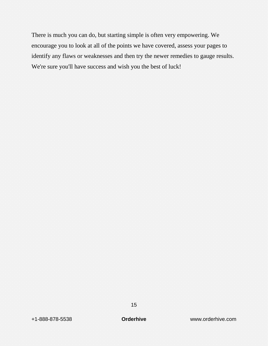There is much you can do, but starting simple is often very empowering. We encourage you to look at all of the points we have covered, assess your pages to identify any flaws or weaknesses and then try the newer remedies to gauge results. We're sure you'll have success and wish you the best of luck!